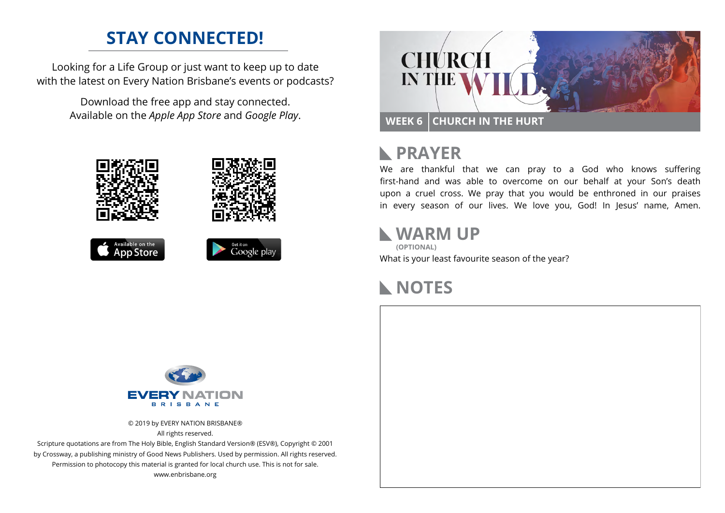# **STAY CONNECTED!**

Looking for a Life Group or just want to keep up to date with the latest on Every Nation Brisbane's events or podcasts?

> Download the free app and stay connected. Available on the *Apple App Store* and *Google Play*.





```
Available on the<br>App Store
```




# **RAYER**

We are thankful that we can pray to a God who knows suffering first-hand and was able to overcome on our behalf at your Son's death upon a cruel cross. We pray that you would be enthroned in our praises in every season of our lives. We love you, God! In Jesus' name, Amen.

#### **WARM UP**

What is your least favourite season of the year? **(OPTIONAL)**

# **NOTES**



© 2019 by EVERY NATION BRISBANE® All rights reserved.

Scripture quotations are from The Holy Bible, English Standard Version® (ESV®), Copyright © 2001 by Crossway, a publishing ministry of Good News Publishers. Used by permission. All rights reserved. Permission to photocopy this material is granted for local church use. This is not for sale. www.enbrisbane.org